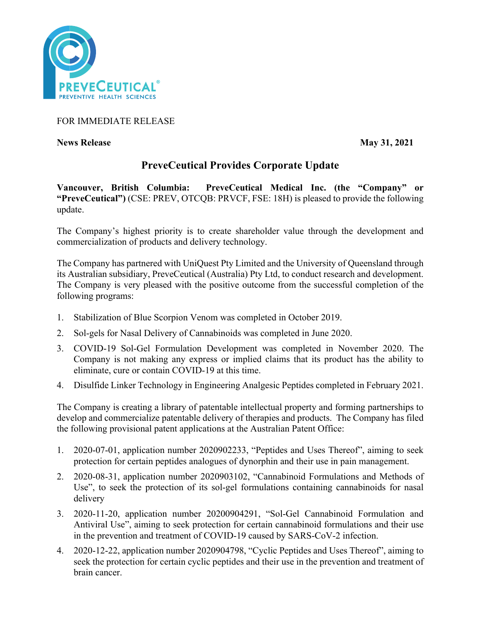

FOR IMMEDIATE RELEASE

**News Release** May 31, 2021

# **PreveCeutical Provides Corporate Update**

**Vancouver, British Columbia: PreveCeutical Medical Inc. (the "Company" or "PreveCeutical")** (CSE: PREV, OTCQB: PRVCF, FSE: 18H) is pleased to provide the following update.

The Company's highest priority is to create shareholder value through the development and commercialization of products and delivery technology.

The Company has partnered with UniQuest Pty Limited and the University of Queensland through its Australian subsidiary, PreveCeutical (Australia) Pty Ltd, to conduct research and development. The Company is very pleased with the positive outcome from the successful completion of the following programs:

- 1. Stabilization of Blue Scorpion Venom was completed in October 2019.
- 2. Sol-gels for Nasal Delivery of Cannabinoids was completed in June 2020.
- 3. COVID-19 Sol-Gel Formulation Development was completed in November 2020. The Company is not making any express or implied claims that its product has the ability to eliminate, cure or contain COVID-19 at this time.
- 4. Disulfide Linker Technology in Engineering Analgesic Peptides completed in February 2021.

The Company is creating a library of patentable intellectual property and forming partnerships to develop and commercialize patentable delivery of therapies and products. The Company has filed the following provisional patent applications at the Australian Patent Office:

- 1. 2020-07-01, application number 2020902233, "Peptides and Uses Thereof", aiming to seek protection for certain peptides analogues of dynorphin and their use in pain management.
- 2. 2020-08-31, application number 2020903102, "Cannabinoid Formulations and Methods of Use", to seek the protection of its sol-gel formulations containing cannabinoids for nasal delivery
- 3. 2020-11-20, application number 20200904291, "Sol-Gel Cannabinoid Formulation and Antiviral Use", aiming to seek protection for certain cannabinoid formulations and their use in the prevention and treatment of COVID-19 caused by SARS-CoV-2 infection.
- 4. 2020-12-22, application number 2020904798, "Cyclic Peptides and Uses Thereof", aiming to seek the protection for certain cyclic peptides and their use in the prevention and treatment of brain cancer.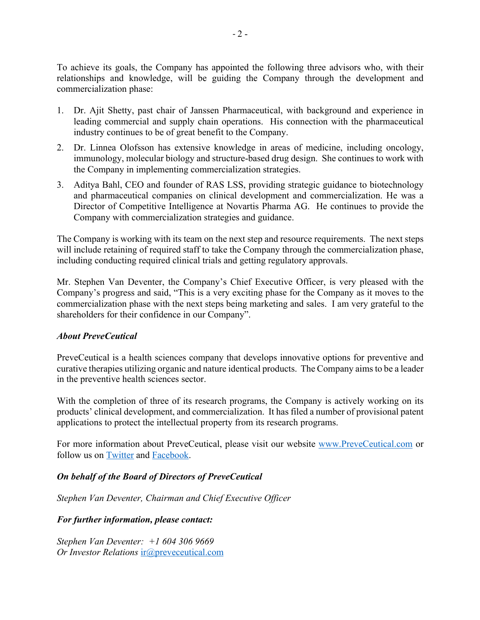To achieve its goals, the Company has appointed the following three advisors who, with their relationships and knowledge, will be guiding the Company through the development and commercialization phase:

- 1. Dr. Ajit Shetty, past chair of Janssen Pharmaceutical, with background and experience in leading commercial and supply chain operations. His connection with the pharmaceutical industry continues to be of great benefit to the Company.
- 2. Dr. Linnea Olofsson has extensive knowledge in areas of medicine, including oncology, immunology, molecular biology and structure-based drug design. She continues to work with the Company in implementing commercialization strategies.
- 3. Aditya Bahl, CEO and founder of RAS LSS, providing strategic guidance to biotechnology and pharmaceutical companies on clinical development and commercialization. He was a Director of Competitive Intelligence at Novartis Pharma AG. He continues to provide the Company with commercialization strategies and guidance.

The Company is working with its team on the next step and resource requirements. The next steps will include retaining of required staff to take the Company through the commercialization phase, including conducting required clinical trials and getting regulatory approvals.

Mr. Stephen Van Deventer, the Company's Chief Executive Officer, is very pleased with the Company's progress and said, "This is a very exciting phase for the Company as it moves to the commercialization phase with the next steps being marketing and sales. I am very grateful to the shareholders for their confidence in our Company".

## *About PreveCeutical*

PreveCeutical is a health sciences company that develops innovative options for preventive and curative therapies utilizing organic and nature identical products. The Company aims to be a leader in the preventive health sciences sector.

With the completion of three of its research programs, the Company is actively working on its products' clinical development, and commercialization. It has filed a number of provisional patent applications to protect the intellectual property from its research programs.

For more information about PreveCeutical, please visit our website www.PreveCeutical.com or follow us on Twitter and Facebook.

# *On behalf of the Board of Directors of PreveCeutical*

*Stephen Van Deventer, Chairman and Chief Executive Officer*

## *For further information, please contact:*

*Stephen Van Deventer: +1 604 306 9669 Or Investor Relations* ir@preveceutical.com